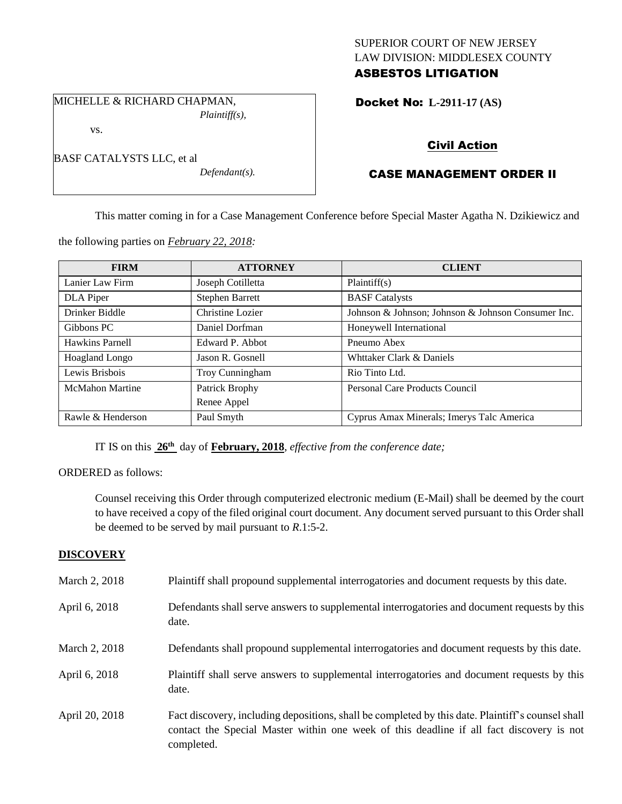## SUPERIOR COURT OF NEW JERSEY LAW DIVISION: MIDDLESEX COUNTY ASBESTOS LITIGATION

MICHELLE & RICHARD CHAPMAN, *Plaintiff(s),*

vs.

| BASF CATALYSTS LLC, et al |                  |
|---------------------------|------------------|
|                           | $Defendant(s)$ . |

Docket No: **L-2911-17 (AS)** 

# Civil Action

## CASE MANAGEMENT ORDER II

This matter coming in for a Case Management Conference before Special Master Agatha N. Dzikiewicz and

the following parties on *February 22, 2018:*

| <b>FIRM</b>            | <b>ATTORNEY</b>        | <b>CLIENT</b>                                      |
|------------------------|------------------------|----------------------------------------------------|
| Lanier Law Firm        | Joseph Cotilletta      | Plaintiff(s)                                       |
| DLA Piper              | <b>Stephen Barrett</b> | <b>BASF</b> Catalysts                              |
| Drinker Biddle         | Christine Lozier       | Johnson & Johnson; Johnson & Johnson Consumer Inc. |
| Gibbons PC             | Daniel Dorfman         | Honeywell International                            |
| Hawkins Parnell        | Edward P. Abbot        | Pneumo Abex                                        |
| <b>Hoagland Longo</b>  | Jason R. Gosnell       | Whttaker Clark & Daniels                           |
| Lewis Brisbois         | Troy Cunningham        | Rio Tinto Ltd.                                     |
| <b>McMahon Martine</b> | Patrick Brophy         | <b>Personal Care Products Council</b>              |
|                        | Renee Appel            |                                                    |
| Rawle & Henderson      | Paul Smyth             | Cyprus Amax Minerals; Imerys Talc America          |

IT IS on this **26th** day of **February, 2018**, *effective from the conference date;*

ORDERED as follows:

Counsel receiving this Order through computerized electronic medium (E-Mail) shall be deemed by the court to have received a copy of the filed original court document. Any document served pursuant to this Order shall be deemed to be served by mail pursuant to *R*.1:5-2.

## **DISCOVERY**

| March 2, 2018  | Plaintiff shall propound supplemental interrogatories and document requests by this date.                                                                                                                   |
|----------------|-------------------------------------------------------------------------------------------------------------------------------------------------------------------------------------------------------------|
| April 6, 2018  | Defendants shall serve answers to supplemental interrogatories and document requests by this<br>date.                                                                                                       |
| March 2, 2018  | Defendants shall propound supplemental interrogatories and document requests by this date.                                                                                                                  |
| April 6, 2018  | Plaintiff shall serve answers to supplemental interrogatories and document requests by this<br>date.                                                                                                        |
| April 20, 2018 | Fact discovery, including depositions, shall be completed by this date. Plaintiff's counsel shall<br>contact the Special Master within one week of this deadline if all fact discovery is not<br>completed. |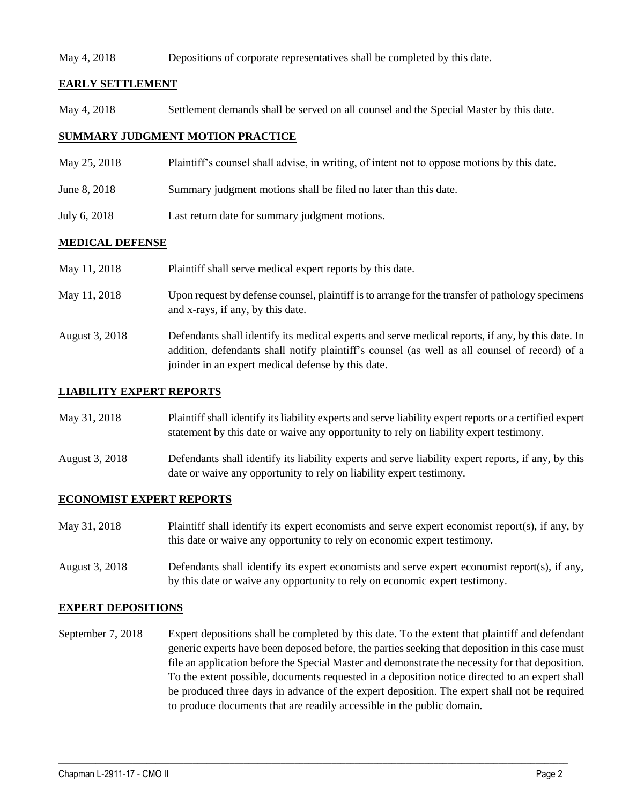#### May 4, 2018 Depositions of corporate representatives shall be completed by this date.

## **EARLY SETTLEMENT**

May 4, 2018 Settlement demands shall be served on all counsel and the Special Master by this date.

## **SUMMARY JUDGMENT MOTION PRACTICE**

- May 25, 2018 Plaintiff's counsel shall advise, in writing, of intent not to oppose motions by this date.
- June 8, 2018 Summary judgment motions shall be filed no later than this date.
- July 6, 2018 Last return date for summary judgment motions.

#### **MEDICAL DEFENSE**

| May 11, 2018   | Plaintiff shall serve medical expert reports by this date.                                                                                                                                                                                               |
|----------------|----------------------------------------------------------------------------------------------------------------------------------------------------------------------------------------------------------------------------------------------------------|
| May 11, 2018   | Upon request by defense counsel, plaintiff is to arrange for the transfer of pathology specimens<br>and x-rays, if any, by this date.                                                                                                                    |
| August 3, 2018 | Defendants shall identify its medical experts and serve medical reports, if any, by this date. In<br>addition, defendants shall notify plaintiff's counsel (as well as all counsel of record) of a<br>joinder in an expert medical defense by this date. |

#### **LIABILITY EXPERT REPORTS**

| May 31, 2018 | Plaintiff shall identify its liability experts and serve liability expert reports or a certified expert |
|--------------|---------------------------------------------------------------------------------------------------------|
|              | statement by this date or waive any opportunity to rely on liability expert testimony.                  |

August 3, 2018 Defendants shall identify its liability experts and serve liability expert reports, if any, by this date or waive any opportunity to rely on liability expert testimony.

#### **ECONOMIST EXPERT REPORTS**

| May 31, 2018 | Plaintiff shall identify its expert economists and serve expert economist report(s), if any, by |
|--------------|-------------------------------------------------------------------------------------------------|
|              | this date or waive any opportunity to rely on economic expert testimony.                        |

August 3, 2018 Defendants shall identify its expert economists and serve expert economist report(s), if any, by this date or waive any opportunity to rely on economic expert testimony.

#### **EXPERT DEPOSITIONS**

September 7, 2018 Expert depositions shall be completed by this date. To the extent that plaintiff and defendant generic experts have been deposed before, the parties seeking that deposition in this case must file an application before the Special Master and demonstrate the necessity for that deposition. To the extent possible, documents requested in a deposition notice directed to an expert shall be produced three days in advance of the expert deposition. The expert shall not be required to produce documents that are readily accessible in the public domain.

 $\_$  ,  $\_$  ,  $\_$  ,  $\_$  ,  $\_$  ,  $\_$  ,  $\_$  ,  $\_$  ,  $\_$  ,  $\_$  ,  $\_$  ,  $\_$  ,  $\_$  ,  $\_$  ,  $\_$  ,  $\_$  ,  $\_$  ,  $\_$  ,  $\_$  ,  $\_$  ,  $\_$  ,  $\_$  ,  $\_$  ,  $\_$  ,  $\_$  ,  $\_$  ,  $\_$  ,  $\_$  ,  $\_$  ,  $\_$  ,  $\_$  ,  $\_$  ,  $\_$  ,  $\_$  ,  $\_$  ,  $\_$  ,  $\_$  ,